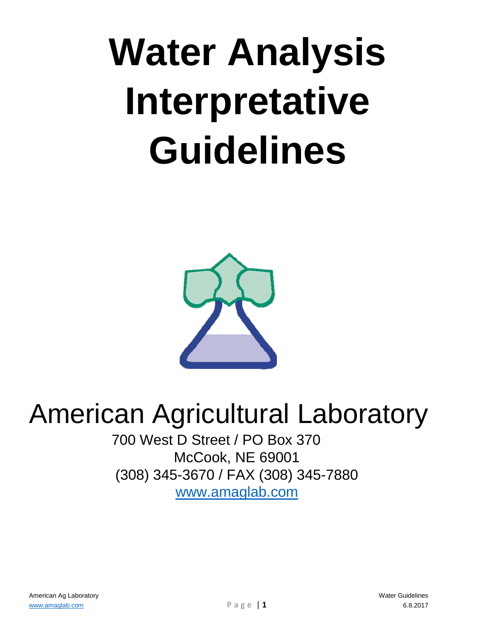## **Water Analysis Interpretative Guidelines**



## American Agricultural Laboratory

700 West D Street / PO Box 370 McCook, NE 69001 (308) 345-3670 / FAX (308) 345-7880 [www.amaglab.com](http://www.amaglab.com/)